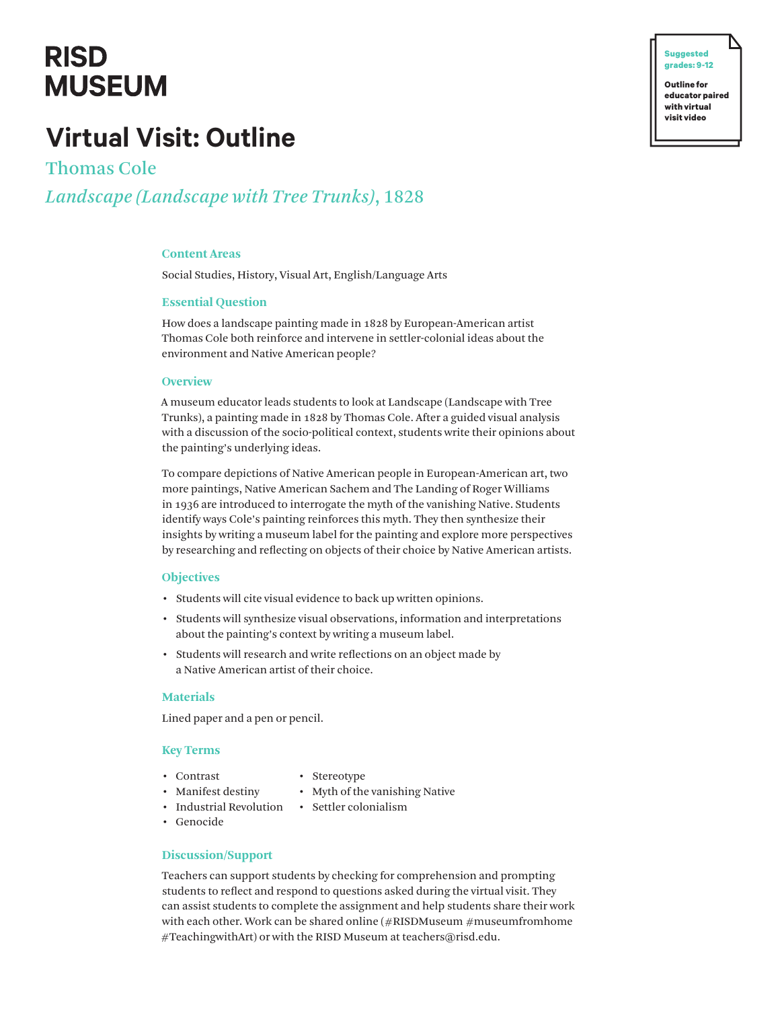## **RISD MUSEUM**

## **Virtual Visit: Outline**

Thomas Cole *Landscape (Landscape with Tree Trunks)*, 1828

## **Content Areas**

Social Studies, History, Visual Art, English/Language Arts

#### **Essential Question**

How does a landscape painting made in 1828 by European-American artist Thomas Cole both reinforce and intervene in settler-colonial ideas about the environment and Native American people?

#### **Overview**

A museum educator leads students to look at Landscape (Landscape with Tree Trunks), a painting made in 1828 by Thomas Cole. After a guided visual analysis with a discussion of the socio-political context, students write their opinions about the painting's underlying ideas.

To compare depictions of Native American people in European-American art, two more paintings, Native American Sachem and The Landing of Roger Williams in 1936 are introduced to interrogate the myth of the vanishing Native. Students identify ways Cole's painting reinforces this myth. They then synthesize their insights by writing a museum label for the painting and explore more perspectives by researching and reflecting on objects of their choice by Native American artists.

#### **Objectives**

- Students will cite visual evidence to back up written opinions.
- Students will synthesize visual observations, information and interpretations about the painting's context by writing a museum label.
- Students will research and write reflections on an object made by a Native American artist of their choice.

#### **Materials**

Lined paper and a pen or pencil.

## **Key Terms**

- Contrast
- Stereotype
- Myth of the vanishing Native
- Industrial Revolution Settler colonialism

• Manifest destiny

- 
- Genocide

#### **Discussion/Support**

Teachers can support students by checking for comprehension and prompting students to reflect and respond to questions asked during the virtual visit. They can assist students to complete the assignment and help students share their work with each other. Work can be shared online (#RISDMuseum #museumfromhome #TeachingwithArt) or with the RISD Museum at teachers@risd.edu.

**� Suggested grades: 9-12 Outline for**

**educator paired with virtual visit video**